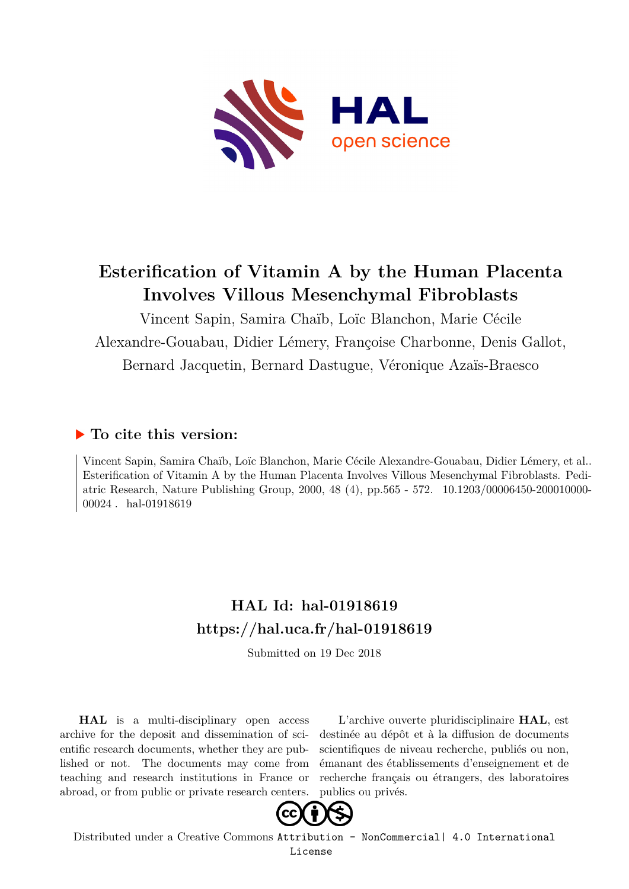

# **Esterification of Vitamin A by the Human Placenta Involves Villous Mesenchymal Fibroblasts**

Vincent Sapin, Samira Chaïb, Loïc Blanchon, Marie Cécile Alexandre-Gouabau, Didier Lémery, Françoise Charbonne, Denis Gallot, Bernard Jacquetin, Bernard Dastugue, Véronique Azaïs-Braesco

# **To cite this version:**

Vincent Sapin, Samira Chaïb, Loïc Blanchon, Marie Cécile Alexandre-Gouabau, Didier Lémery, et al.. Esterification of Vitamin A by the Human Placenta Involves Villous Mesenchymal Fibroblasts. Pediatric Research, Nature Publishing Group, 2000, 48 (4), pp.565 - 572. 10.1203/00006450-200010000-00024. hal-01918619

# **HAL Id: hal-01918619 <https://hal.uca.fr/hal-01918619>**

Submitted on 19 Dec 2018

**HAL** is a multi-disciplinary open access archive for the deposit and dissemination of scientific research documents, whether they are published or not. The documents may come from teaching and research institutions in France or abroad, or from public or private research centers.

L'archive ouverte pluridisciplinaire **HAL**, est destinée au dépôt et à la diffusion de documents scientifiques de niveau recherche, publiés ou non, émanant des établissements d'enseignement et de recherche français ou étrangers, des laboratoires publics ou privés.



Distributed under a Creative Commons [Attribution - NonCommercial| 4.0 International](http://creativecommons.org/licenses/by-nc/4.0/) [License](http://creativecommons.org/licenses/by-nc/4.0/)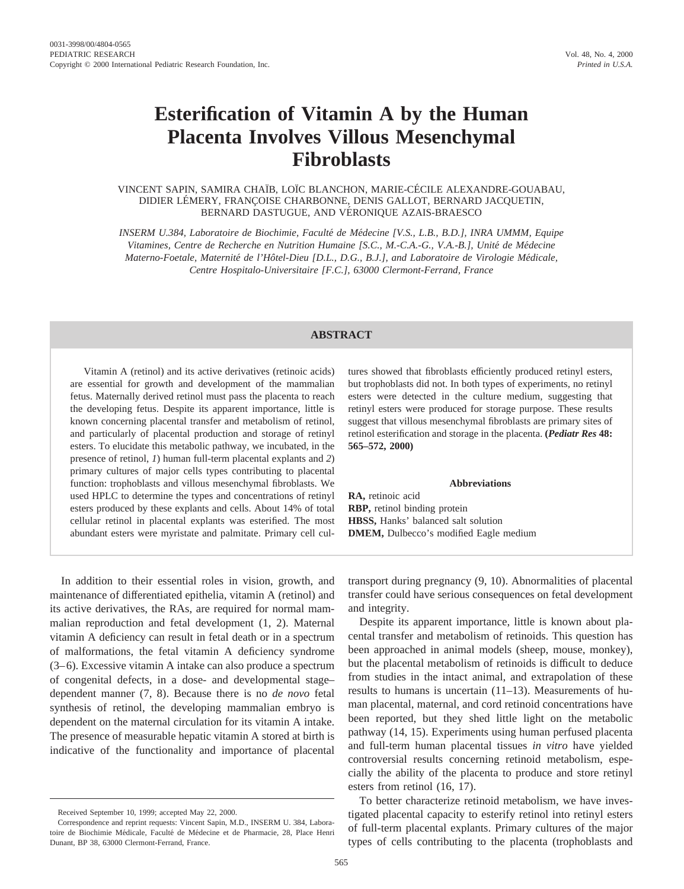# **Esterification of Vitamin A by the Human Placenta Involves Villous Mesenchymal Fibroblasts**

VINCENT SAPIN, SAMIRA CHAÏB, LOÏC BLANCHON, MARIE-CÉCILE ALEXANDRE-GOUABAU, DIDIER LÉMERY, FRANÇOISE CHARBONNE, DENIS GALLOT, BERNARD JACQUETIN, BERNARD DASTUGUE, AND VERONIQUE AZAIS-BRAESCO ´

*INSERM U.384, Laboratoire de Biochimie, Faculte´ de Me´decine [V.S., L.B., B.D.], INRA UMMM, Equipe* Vitamines, Centre de Recherche en Nutrition Humaine [S.C., M.-C.A.-G., V.A.-B.], Unité de Médecine *Materno-Foetale, Maternité de l'Hôtel-Dieu [D.L., D.G., B.J.], and Laboratoire de Virologie Médicale, Centre Hospitalo-Universitaire [F.C.], 63000 Clermont-Ferrand, France*

## **ABSTRACT**

Vitamin A (retinol) and its active derivatives (retinoic acids) are essential for growth and development of the mammalian fetus. Maternally derived retinol must pass the placenta to reach the developing fetus. Despite its apparent importance, little is known concerning placental transfer and metabolism of retinol, and particularly of placental production and storage of retinyl esters. To elucidate this metabolic pathway, we incubated, in the presence of retinol, *1*) human full-term placental explants and *2*) primary cultures of major cells types contributing to placental function: trophoblasts and villous mesenchymal fibroblasts. We used HPLC to determine the types and concentrations of retinyl esters produced by these explants and cells. About 14% of total cellular retinol in placental explants was esterified. The most abundant esters were myristate and palmitate. Primary cell cultures showed that fibroblasts efficiently produced retinyl esters, but trophoblasts did not. In both types of experiments, no retinyl esters were detected in the culture medium, suggesting that retinyl esters were produced for storage purpose. These results suggest that villous mesenchymal fibroblasts are primary sites of retinol esterification and storage in the placenta. **(***Pediatr Res* **48: 565–572, 2000)**

#### **Abbreviations**

**RBP,** retinol binding protein **HBSS,** Hanks' balanced salt solution **DMEM,** Dulbecco's modified Eagle medium

**RA,** retinoic acid

In addition to their essential roles in vision, growth, and maintenance of differentiated epithelia, vitamin A (retinol) and its active derivatives, the RAs, are required for normal mammalian reproduction and fetal development (1, 2). Maternal vitamin A deficiency can result in fetal death or in a spectrum of malformations, the fetal vitamin A deficiency syndrome (3–6). Excessive vitamin A intake can also produce a spectrum of congenital defects, in a dose- and developmental stage– dependent manner (7, 8). Because there is no *de novo* fetal synthesis of retinol, the developing mammalian embryo is dependent on the maternal circulation for its vitamin A intake. The presence of measurable hepatic vitamin A stored at birth is indicative of the functionality and importance of placental transport during pregnancy (9, 10). Abnormalities of placental transfer could have serious consequences on fetal development and integrity.

Despite its apparent importance, little is known about placental transfer and metabolism of retinoids. This question has been approached in animal models (sheep, mouse, monkey), but the placental metabolism of retinoids is difficult to deduce from studies in the intact animal, and extrapolation of these results to humans is uncertain (11–13). Measurements of human placental, maternal, and cord retinoid concentrations have been reported, but they shed little light on the metabolic pathway (14, 15). Experiments using human perfused placenta and full-term human placental tissues *in vitro* have yielded controversial results concerning retinoid metabolism, especially the ability of the placenta to produce and store retinyl esters from retinol (16, 17).

To better characterize retinoid metabolism, we have investigated placental capacity to esterify retinol into retinyl esters of full-term placental explants. Primary cultures of the major types of cells contributing to the placenta (trophoblasts and

Received September 10, 1999; accepted May 22, 2000.

Correspondence and reprint requests: Vincent Sapin, M.D., INSERM U. 384, Laboratoire de Biochimie Médicale, Faculté de Médecine et de Pharmacie, 28, Place Henri Dunant, BP 38, 63000 Clermont-Ferrand, France.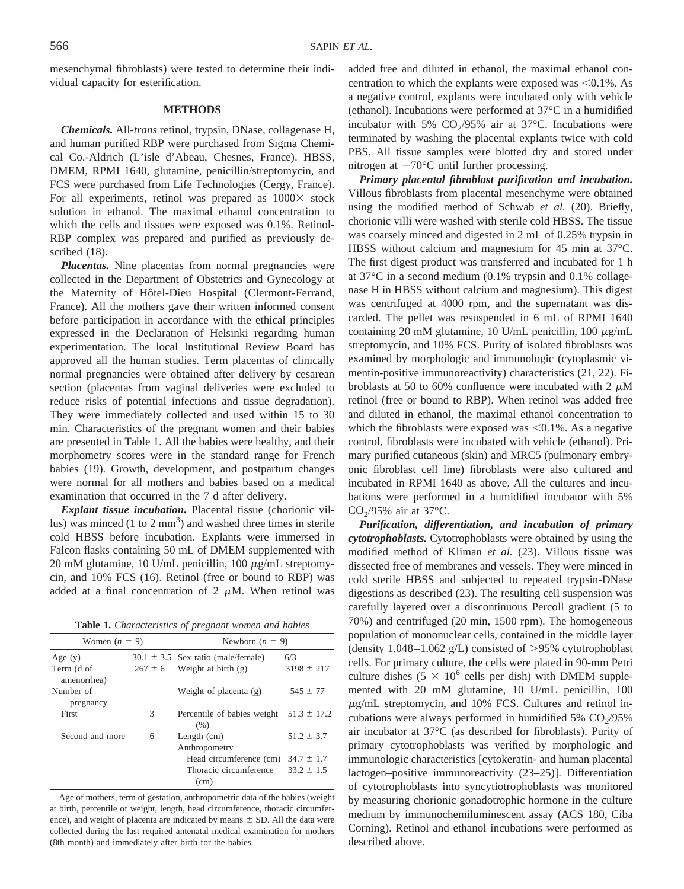mesenchymal fibroblasts) were tested to determine their individual capacity for esterification.

#### **METHODS**

*Chemicals.* All-*trans* retinol, trypsin, DNase, collagenase H, and human purified RBP were purchased from Sigma Chemical Co.-Aldrich (L'isle d'Abeau, Chesnes, France). HBSS, DMEM, RPMI 1640, glutamine, penicillin/streptomycin, and FCS were purchased from Life Technologies (Cergy, France). For all experiments, retinol was prepared as  $1000 \times$  stock solution in ethanol. The maximal ethanol concentration to which the cells and tissues were exposed was 0.1%. Retinol-RBP complex was prepared and purified as previously described (18).

*Placentas.* Nine placentas from normal pregnancies were collected in the Department of Obstetrics and Gynecology at the Maternity of Hôtel-Dieu Hospital (Clermont-Ferrand, France). All the mothers gave their written informed consent before participation in accordance with the ethical principles expressed in the Declaration of Helsinki regarding human experimentation. The local Institutional Review Board has approved all the human studies. Term placentas of clinically normal pregnancies were obtained after delivery by cesarean section (placentas from vaginal deliveries were excluded to reduce risks of potential infections and tissue degradation). They were immediately collected and used within 15 to 30 min. Characteristics of the pregnant women and their babies are presented in Table 1. All the babies were healthy, and their morphometry scores were in the standard range for French babies (19). Growth, development, and postpartum changes were normal for all mothers and babies based on a medical examination that occurred in the 7 d after delivery.

*Explant tissue incubation.* Placental tissue (chorionic villus) was minced  $(1 \text{ to } 2 \text{ mm}^3)$  and washed three times in sterile cold HBSS before incubation. Explants were immersed in Falcon flasks containing 50 mL of DMEM supplemented with 20 mM glutamine, 10 U/mL penicillin, 100  $\mu$ g/mL streptomycin, and 10% FCS (16). Retinol (free or bound to RBP) was added at a final concentration of 2  $\mu$ M. When retinol was

**Table 1.** *Characteristics of pregnant women and babies*

| Women $(n = 9)$           |             | Newborn $(n = 9)$                      |                 |  |
|---------------------------|-------------|----------------------------------------|-----------------|--|
| Age $(y)$                 |             | $30.1 \pm 3.5$ Sex ratio (male/female) | 6/3             |  |
| Term (d of<br>amenorrhea) | $267 \pm 6$ | Weight at birth $(g)$                  | $3198 \pm 217$  |  |
| Number of<br>pregnancy    |             | Weight of placenta $(g)$               | $545 \pm 77$    |  |
| First                     | 3           | Percentile of babies weight<br>(% )    | $51.3 \pm 17.2$ |  |
| Second and more           | 6           | Length $(cm)$<br>Anthropometry         | $51.2 \pm 3.7$  |  |
|                           |             | Head circumference (cm)                | $34.7 \pm 1.7$  |  |
|                           |             | Thoracic circumference<br>(cm)         | $33.2 \pm 1.5$  |  |

Age of mothers, term of gestation, anthropometric data of the babies (weight at birth, percentile of weight, length, head circumference, thoracic circumference), and weight of placenta are indicated by means  $\pm$  SD. All the data were collected during the last required antenatal medical examination for mothers (8th month) and immediately after birth for the babies.

added free and diluted in ethanol, the maximal ethanol concentration to which the explants were exposed was  $\leq 0.1\%$ . As a negative control, explants were incubated only with vehicle (ethanol). Incubations were performed at 37°C in a humidified incubator with 5%  $CO<sub>2</sub>/95%$  air at 37°C. Incubations were terminated by washing the placental explants twice with cold PBS. All tissue samples were blotted dry and stored under nitrogen at  $-70^{\circ}$ C until further processing.

*Primary placental fibroblast purification and incubation.* Villous fibroblasts from placental mesenchyme were obtained using the modified method of Schwab *et al.* (20). Briefly, chorionic villi were washed with sterile cold HBSS. The tissue was coarsely minced and digested in 2 mL of 0.25% trypsin in HBSS without calcium and magnesium for 45 min at 37°C. The first digest product was transferred and incubated for 1 h at 37°C in a second medium (0.1% trypsin and 0.1% collagenase H in HBSS without calcium and magnesium). This digest was centrifuged at 4000 rpm, and the supernatant was discarded. The pellet was resuspended in 6 mL of RPMI 1640 containing 20 mM glutamine, 10 U/mL penicillin, 100  $\mu$ g/mL streptomycin, and 10% FCS. Purity of isolated fibroblasts was examined by morphologic and immunologic (cytoplasmic vimentin-positive immunoreactivity) characteristics (21, 22). Fibroblasts at 50 to 60% confluence were incubated with 2  $\mu$ M retinol (free or bound to RBP). When retinol was added free and diluted in ethanol, the maximal ethanol concentration to which the fibroblasts were exposed was  $\leq 0.1\%$ . As a negative control, fibroblasts were incubated with vehicle (ethanol). Primary purified cutaneous (skin) and MRC5 (pulmonary embryonic fibroblast cell line) fibroblasts were also cultured and incubated in RPMI 1640 as above. All the cultures and incubations were performed in a humidified incubator with 5%  $CO<sub>2</sub>/95%$  air at 37°C.

*Purification, differentiation, and incubation of primary cytotrophoblasts.* Cytotrophoblasts were obtained by using the modified method of Kliman *et al.* (23). Villous tissue was dissected free of membranes and vessels. They were minced in cold sterile HBSS and subjected to repeated trypsin-DNase digestions as described (23). The resulting cell suspension was carefully layered over a discontinuous Percoll gradient (5 to 70%) and centrifuged (20 min, 1500 rpm). The homogeneous population of mononuclear cells, contained in the middle layer (density  $1.048 - 1.062$  g/L) consisted of  $> 95\%$  cytotrophoblast cells. For primary culture, the cells were plated in 90-mm Petri culture dishes  $(5 \times 10^6$  cells per dish) with DMEM supplemented with 20 mM glutamine, 10 U/mL penicillin, 100  $\mu$ g/mL streptomycin, and 10% FCS. Cultures and retinol incubations were always performed in humidified 5%  $CO<sub>2</sub>/95%$ air incubator at 37°C (as described for fibroblasts). Purity of primary cytotrophoblasts was verified by morphologic and immunologic characteristics [cytokeratin- and human placental lactogen–positive immunoreactivity (23–25)]. Differentiation of cytotrophoblasts into syncytiotrophoblasts was monitored by measuring chorionic gonadotrophic hormone in the culture medium by immunochemiluminescent assay (ACS 180, Ciba Corning). Retinol and ethanol incubations were performed as described above.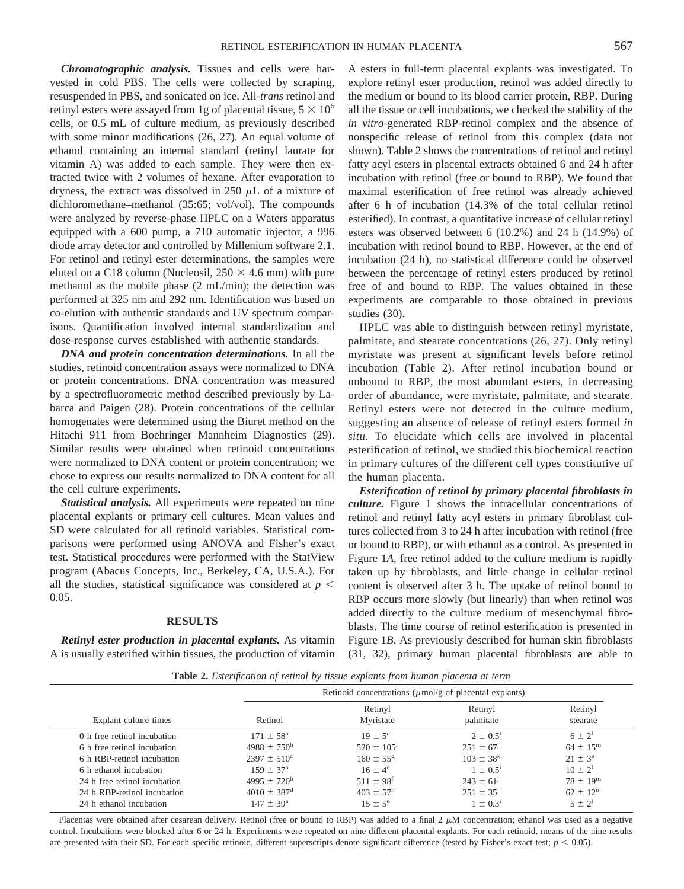*Chromatographic analysis.* Tissues and cells were harvested in cold PBS. The cells were collected by scraping, resuspended in PBS, and sonicated on ice. All-*trans* retinol and retinyl esters were assayed from 1g of placental tissue,  $5 \times 10^6$ cells, or 0.5 mL of culture medium, as previously described with some minor modifications (26, 27). An equal volume of ethanol containing an internal standard (retinyl laurate for vitamin A) was added to each sample. They were then extracted twice with 2 volumes of hexane. After evaporation to dryness, the extract was dissolved in 250  $\mu$ L of a mixture of dichloromethane–methanol (35:65; vol/vol). The compounds were analyzed by reverse-phase HPLC on a Waters apparatus equipped with a 600 pump, a 710 automatic injector, a 996 diode array detector and controlled by Millenium software 2.1. For retinol and retinyl ester determinations, the samples were eluted on a C18 column (Nucleosil,  $250 \times 4.6$  mm) with pure methanol as the mobile phase (2 mL/min); the detection was performed at 325 nm and 292 nm. Identification was based on co-elution with authentic standards and UV spectrum comparisons. Quantification involved internal standardization and dose-response curves established with authentic standards.

*DNA and protein concentration determinations.* In all the studies, retinoid concentration assays were normalized to DNA or protein concentrations. DNA concentration was measured by a spectrofluorometric method described previously by Labarca and Paigen (28). Protein concentrations of the cellular homogenates were determined using the Biuret method on the Hitachi 911 from Boehringer Mannheim Diagnostics (29). Similar results were obtained when retinoid concentrations were normalized to DNA content or protein concentration; we chose to express our results normalized to DNA content for all the cell culture experiments.

*Statistical analysis.* All experiments were repeated on nine placental explants or primary cell cultures. Mean values and SD were calculated for all retinoid variables. Statistical comparisons were performed using ANOVA and Fisher's exact test. Statistical procedures were performed with the StatView program (Abacus Concepts, Inc., Berkeley, CA, U.S.A.). For all the studies, statistical significance was considered at  $p <$ 0.05.

### **RESULTS**

*Retinyl ester production in placental explants.* As vitamin A is usually esterified within tissues, the production of vitamin

A esters in full-term placental explants was investigated. To explore retinyl ester production, retinol was added directly to the medium or bound to its blood carrier protein, RBP. During all the tissue or cell incubations, we checked the stability of the *in vitro*-generated RBP-retinol complex and the absence of nonspecific release of retinol from this complex (data not shown). Table 2 shows the concentrations of retinol and retinyl fatty acyl esters in placental extracts obtained 6 and 24 h after incubation with retinol (free or bound to RBP). We found that maximal esterification of free retinol was already achieved after 6 h of incubation (14.3% of the total cellular retinol esterified). In contrast, a quantitative increase of cellular retinyl esters was observed between 6 (10.2%) and 24 h (14.9%) of incubation with retinol bound to RBP. However, at the end of incubation (24 h), no statistical difference could be observed between the percentage of retinyl esters produced by retinol free of and bound to RBP. The values obtained in these experiments are comparable to those obtained in previous studies (30).

HPLC was able to distinguish between retinyl myristate, palmitate, and stearate concentrations (26, 27). Only retinyl myristate was present at significant levels before retinol incubation (Table 2). After retinol incubation bound or unbound to RBP, the most abundant esters, in decreasing order of abundance, were myristate, palmitate, and stearate. Retinyl esters were not detected in the culture medium, suggesting an absence of release of retinyl esters formed *in situ*. To elucidate which cells are involved in placental esterification of retinol, we studied this biochemical reaction in primary cultures of the different cell types constitutive of the human placenta.

*Esterification of retinol by primary placental fibroblasts in culture.* Figure 1 shows the intracellular concentrations of retinol and retinyl fatty acyl esters in primary fibroblast cultures collected from 3 to 24 h after incubation with retinol (free or bound to RBP), or with ethanol as a control. As presented in Figure 1*A*, free retinol added to the culture medium is rapidly taken up by fibroblasts, and little change in cellular retinol content is observed after 3 h. The uptake of retinol bound to RBP occurs more slowly (but linearly) than when retinol was added directly to the culture medium of mesenchymal fibroblasts. The time course of retinol esterification is presented in Figure 1*B*. As previously described for human skin fibroblasts (31, 32), primary human placental fibroblasts are able to

**Table 2.** *Esterification of retinol by tissue explants from human placenta at term*

| Explant culture times        | Retinoid concentrations ( $\mu$ mol/g of placental explants) |                            |                      |                     |  |
|------------------------------|--------------------------------------------------------------|----------------------------|----------------------|---------------------|--|
|                              | Retinol                                                      | Retinyl<br>Myristate       | Retinyl<br>palmitate | Retinyl<br>stearate |  |
| 0 h free retinol incubation  | $171 \pm 58^{\circ}$                                         | $19 \pm 5^{\circ}$         | $2 \pm 0.5^1$        | $6 \pm 2^{\rm l}$   |  |
| 6 h free retinol incubation  | $4988 \pm 750^{\rm b}$                                       | $520 \pm 105$ <sup>f</sup> | $251 \pm 67$         | $64 \pm 15^{\rm m}$ |  |
| 6 h RBP-retinol incubation   | $2397 \pm 510^{\circ}$                                       | $160 \pm 55$ <sup>g</sup>  | $103 \pm 38^k$       | $21 \pm 3^{n}$      |  |
| 6 h ethanol incubation       | $159 \pm 37^{\rm a}$                                         | $16 \pm 4^e$               | $1 \pm 0.5^i$        | $10 \pm 2^1$        |  |
| 24 h free retinol incubation | $4995 \pm 720^{\rm b}$                                       | $511 \pm 98$ <sup>f</sup>  | $243 \pm 61^{j}$     | $78 \pm 19^{\rm m}$ |  |
| 24 h RBP-retinol incubation  | $4010 \pm 387$ <sup>d</sup>                                  | $403 \pm 57^{\rm h}$       | $251 \pm 35^{\circ}$ | $62 \pm 12^{\circ}$ |  |
| 24 h ethanol incubation      | $147 \pm 39^{\rm a}$                                         | $15 \pm 5^{\circ}$         | $1 \pm 0.3^1$        | $5 \pm 2^1$         |  |

Placentas were obtained after cesarean delivery. Retinol (free or bound to RBP) was added to a final  $2 \mu M$  concentration; ethanol was used as a negative control. Incubations were blocked after 6 or 24 h. Experiments were repeated on nine different placental explants. For each retinoid, means of the nine results are presented with their SD. For each specific retinoid, different superscripts denote significant difference (tested by Fisher's exact test;  $p < 0.05$ ).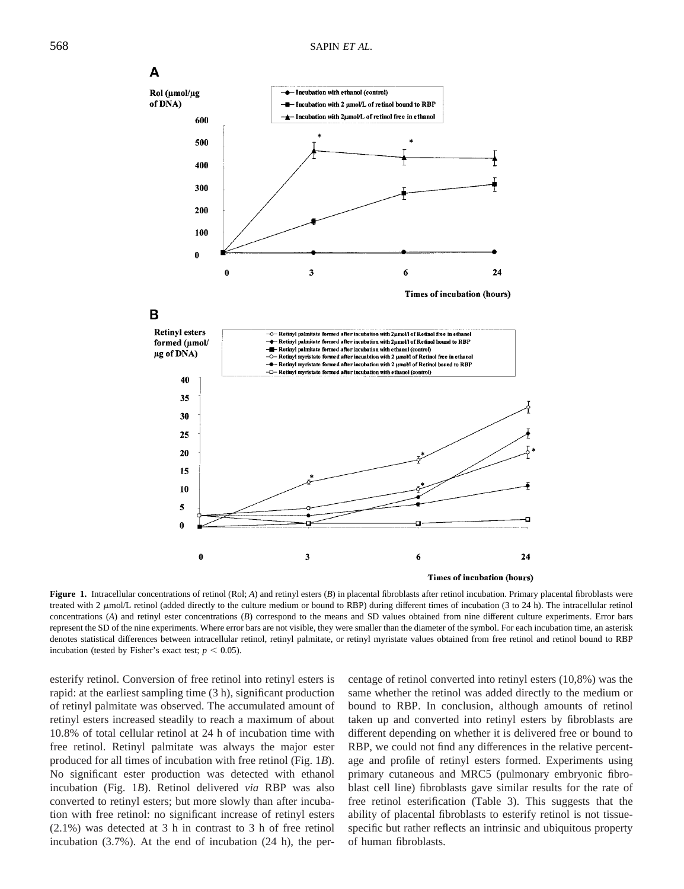

Figure 1. Intracellular concentrations of retinol (Rol; *A*) and retinyl esters (*B*) in placental fibroblasts after retinol incubation. Primary placental fibroblasts were treated with 2  $\mu$ mol/L retinol (added directly to the culture medium or bound to RBP) during different times of incubation (3 to 24 h). The intracellular retinol concentrations (*A*) and retinyl ester concentrations (*B*) correspond to the means and SD values obtained from nine different culture experiments. Error bars represent the SD of the nine experiments. Where error bars are not visible, they were smaller than the diameter of the symbol. For each incubation time, an asterisk denotes statistical differences between intracellular retinol, retinyl palmitate, or retinyl myristate values obtained from free retinol and retinol bound to RBP incubation (tested by Fisher's exact test;  $p < 0.05$ ).

6

3

esterify retinol. Conversion of free retinol into retinyl esters is rapid: at the earliest sampling time (3 h), significant production of retinyl palmitate was observed. The accumulated amount of retinyl esters increased steadily to reach a maximum of about 10.8% of total cellular retinol at 24 h of incubation time with free retinol. Retinyl palmitate was always the major ester produced for all times of incubation with free retinol (Fig. 1*B*). No significant ester production was detected with ethanol incubation (Fig. 1*B*). Retinol delivered *via* RBP was also converted to retinyl esters; but more slowly than after incubation with free retinol: no significant increase of retinyl esters (2.1%) was detected at 3 h in contrast to 3 h of free retinol incubation (3.7%). At the end of incubation (24 h), the per-

10 5 n

 $\bf{0}$ 

centage of retinol converted into retinyl esters (10,8%) was the same whether the retinol was added directly to the medium or bound to RBP. In conclusion, although amounts of retinol taken up and converted into retinyl esters by fibroblasts are different depending on whether it is delivered free or bound to RBP, we could not find any differences in the relative percentage and profile of retinyl esters formed. Experiments using primary cutaneous and MRC5 (pulmonary embryonic fibroblast cell line) fibroblasts gave similar results for the rate of free retinol esterification (Table 3). This suggests that the ability of placental fibroblasts to esterify retinol is not tissuespecific but rather reflects an intrinsic and ubiquitous property of human fibroblasts.

Times of incubation (hours)

24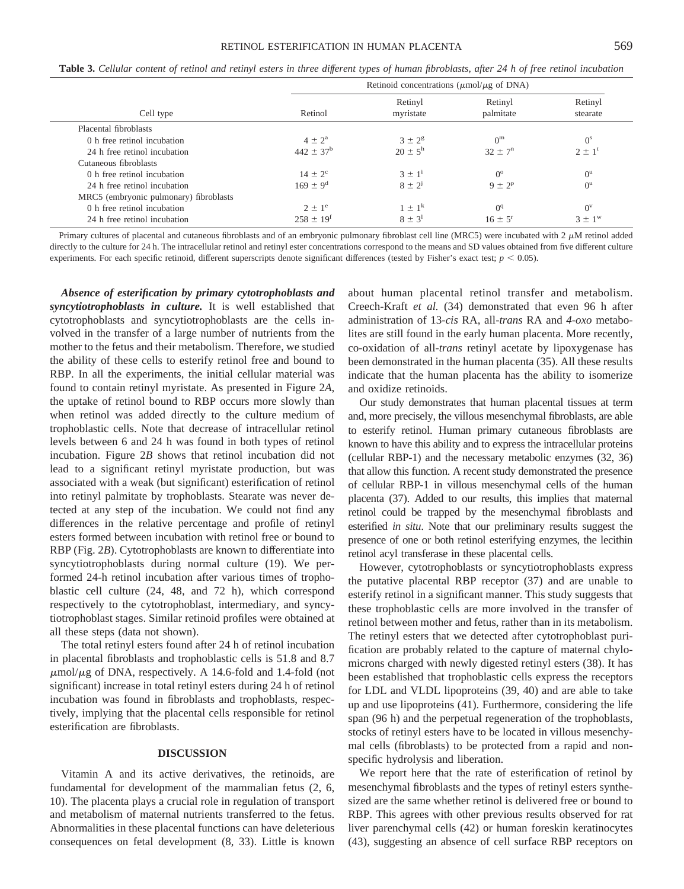**Table 3.** *Cellular content of retinol and retinyl esters in three different types of human fibroblasts, after 24 h of free retinol incubation*

|                                        | Retinoid concentrations ( $\mu$ mol/ $\mu$ g of DNA) |                      |                      |                     |  |
|----------------------------------------|------------------------------------------------------|----------------------|----------------------|---------------------|--|
| Cell type                              | Retinol                                              | Retinyl<br>myristate | Retinyl<br>palmitate | Retinyl<br>stearate |  |
| Placental fibroblasts                  |                                                      |                      |                      |                     |  |
| 0 h free retinol incubation            | $4 \pm 2^{\rm a}$                                    | $3 \pm 2^8$          | 0 <sup>m</sup>       | $0^{\rm s}$         |  |
| 24 h free retinol incubation           | $442 \pm 37^{\rm b}$                                 | $20 \pm 5^{\rm h}$   | $32 \pm 7^{n}$       | $2 \pm 1^t$         |  |
| Cutaneous fibroblasts                  |                                                      |                      |                      |                     |  |
| 0 h free retinol incubation            | $14 \pm 2^{\circ}$                                   | $3 \pm 1^1$          | $0^{\circ}$          | $0^{\rm u}$         |  |
| 24 h free retinol incubation           | $169 \pm 9^d$                                        | $8 \pm 2^{j}$        | $9 \pm 2^p$          | $0^{\rm u}$         |  |
| MRC5 (embryonic pulmonary) fibroblasts |                                                      |                      |                      |                     |  |
| 0 h free retinol incubation            | $2 \pm 1^e$                                          | $1 \pm 1^k$          | O <sup>q</sup>       | $0^{\rm v}$         |  |
| 24 h free retinol incubation           | $258 \pm 19^{t}$                                     | $8 \pm 3^1$          | $16 \pm 5^{\circ}$   | $3 \pm 1^w$         |  |

Primary cultures of placental and cutaneous fibroblasts and of an embryonic pulmonary fibroblast cell line (MRC5) were incubated with  $2 \mu$ M retinol added directly to the culture for 24 h. The intracellular retinol and retinyl ester concentrations correspond to the means and SD values obtained from five different culture experiments. For each specific retinoid, different superscripts denote significant differences (tested by Fisher's exact test;  $p$  < 0.05).

*Absence of esterification by primary cytotrophoblasts and syncytiotrophoblasts in culture.* It is well established that cytotrophoblasts and syncytiotrophoblasts are the cells involved in the transfer of a large number of nutrients from the mother to the fetus and their metabolism. Therefore, we studied the ability of these cells to esterify retinol free and bound to RBP. In all the experiments, the initial cellular material was found to contain retinyl myristate. As presented in Figure 2*A*, the uptake of retinol bound to RBP occurs more slowly than when retinol was added directly to the culture medium of trophoblastic cells. Note that decrease of intracellular retinol levels between 6 and 24 h was found in both types of retinol incubation. Figure 2*B* shows that retinol incubation did not lead to a significant retinyl myristate production, but was associated with a weak (but significant) esterification of retinol into retinyl palmitate by trophoblasts. Stearate was never detected at any step of the incubation. We could not find any differences in the relative percentage and profile of retinyl esters formed between incubation with retinol free or bound to RBP (Fig. 2*B*). Cytotrophoblasts are known to differentiate into syncytiotrophoblasts during normal culture (19). We performed 24-h retinol incubation after various times of trophoblastic cell culture (24, 48, and 72 h), which correspond respectively to the cytotrophoblast, intermediary, and syncytiotrophoblast stages. Similar retinoid profiles were obtained at all these steps (data not shown).

The total retinyl esters found after 24 h of retinol incubation in placental fibroblasts and trophoblastic cells is 51.8 and 8.7  $\mu$ mol/ $\mu$ g of DNA, respectively. A 14.6-fold and 1.4-fold (not significant) increase in total retinyl esters during 24 h of retinol incubation was found in fibroblasts and trophoblasts, respectively, implying that the placental cells responsible for retinol esterification are fibroblasts.

### **DISCUSSION**

Vitamin A and its active derivatives, the retinoids, are fundamental for development of the mammalian fetus (2, 6, 10). The placenta plays a crucial role in regulation of transport and metabolism of maternal nutrients transferred to the fetus. Abnormalities in these placental functions can have deleterious consequences on fetal development (8, 33). Little is known

about human placental retinol transfer and metabolism. Creech-Kraft *et al.* (34) demonstrated that even 96 h after administration of 13-*cis* RA, all-*trans* RA and *4-oxo* metabolites are still found in the early human placenta. More recently, co-oxidation of all-*trans* retinyl acetate by lipoxygenase has been demonstrated in the human placenta (35). All these results indicate that the human placenta has the ability to isomerize and oxidize retinoids.

Our study demonstrates that human placental tissues at term and, more precisely, the villous mesenchymal fibroblasts, are able to esterify retinol. Human primary cutaneous fibroblasts are known to have this ability and to express the intracellular proteins (cellular RBP-1) and the necessary metabolic enzymes (32, 36) that allow this function. A recent study demonstrated the presence of cellular RBP-1 in villous mesenchymal cells of the human placenta (37). Added to our results, this implies that maternal retinol could be trapped by the mesenchymal fibroblasts and esterified *in situ*. Note that our preliminary results suggest the presence of one or both retinol esterifying enzymes, the lecithin retinol acyl transferase in these placental cells.

However, cytotrophoblasts or syncytiotrophoblasts express the putative placental RBP receptor (37) and are unable to esterify retinol in a significant manner. This study suggests that these trophoblastic cells are more involved in the transfer of retinol between mother and fetus, rather than in its metabolism. The retinyl esters that we detected after cytotrophoblast purification are probably related to the capture of maternal chylomicrons charged with newly digested retinyl esters (38). It has been established that trophoblastic cells express the receptors for LDL and VLDL lipoproteins (39, 40) and are able to take up and use lipoproteins (41). Furthermore, considering the life span (96 h) and the perpetual regeneration of the trophoblasts, stocks of retinyl esters have to be located in villous mesenchymal cells (fibroblasts) to be protected from a rapid and nonspecific hydrolysis and liberation.

We report here that the rate of esterification of retinol by mesenchymal fibroblasts and the types of retinyl esters synthesized are the same whether retinol is delivered free or bound to RBP. This agrees with other previous results observed for rat liver parenchymal cells (42) or human foreskin keratinocytes (43), suggesting an absence of cell surface RBP receptors on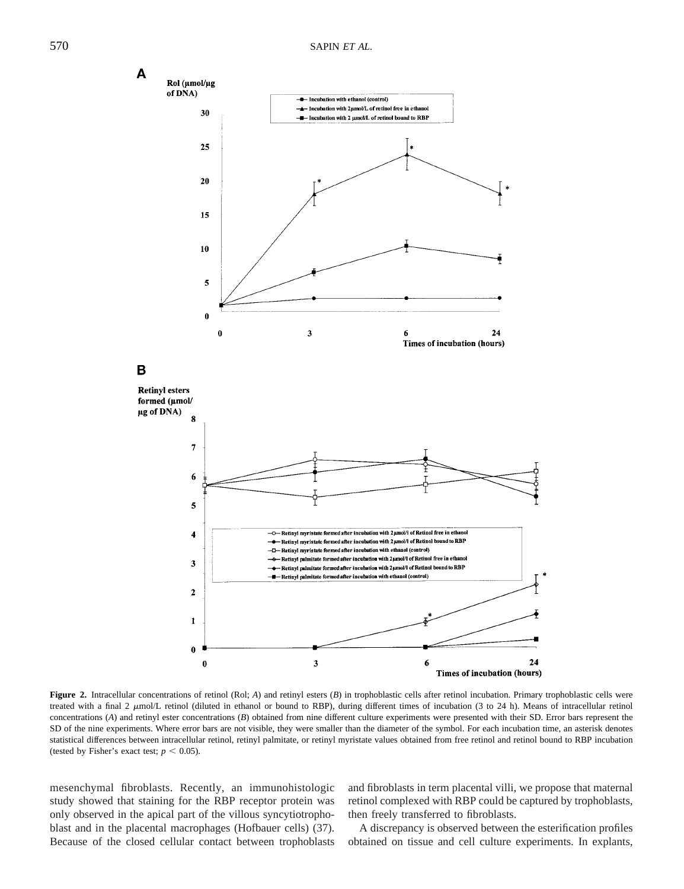

**Figure 2.** Intracellular concentrations of retinol (Rol; *A*) and retinyl esters (*B*) in trophoblastic cells after retinol incubation. Primary trophoblastic cells were treated with a final 2  $\mu$ mol/L retinol (diluted in ethanol or bound to RBP), during different times of incubation (3 to 24 h). Means of intracellular retinol concentrations (*A*) and retinyl ester concentrations (*B*) obtained from nine different culture experiments were presented with their SD. Error bars represent the SD of the nine experiments. Where error bars are not visible, they were smaller than the diameter of the symbol. For each incubation time, an asterisk denotes statistical differences between intracellular retinol, retinyl palmitate, or retinyl myristate values obtained from free retinol and retinol bound to RBP incubation (tested by Fisher's exact test;  $p < 0.05$ ).

mesenchymal fibroblasts. Recently, an immunohistologic study showed that staining for the RBP receptor protein was only observed in the apical part of the villous syncytiotrophoblast and in the placental macrophages (Hofbauer cells) (37). Because of the closed cellular contact between trophoblasts and fibroblasts in term placental villi, we propose that maternal retinol complexed with RBP could be captured by trophoblasts, then freely transferred to fibroblasts.

A discrepancy is observed between the esterification profiles obtained on tissue and cell culture experiments. In explants,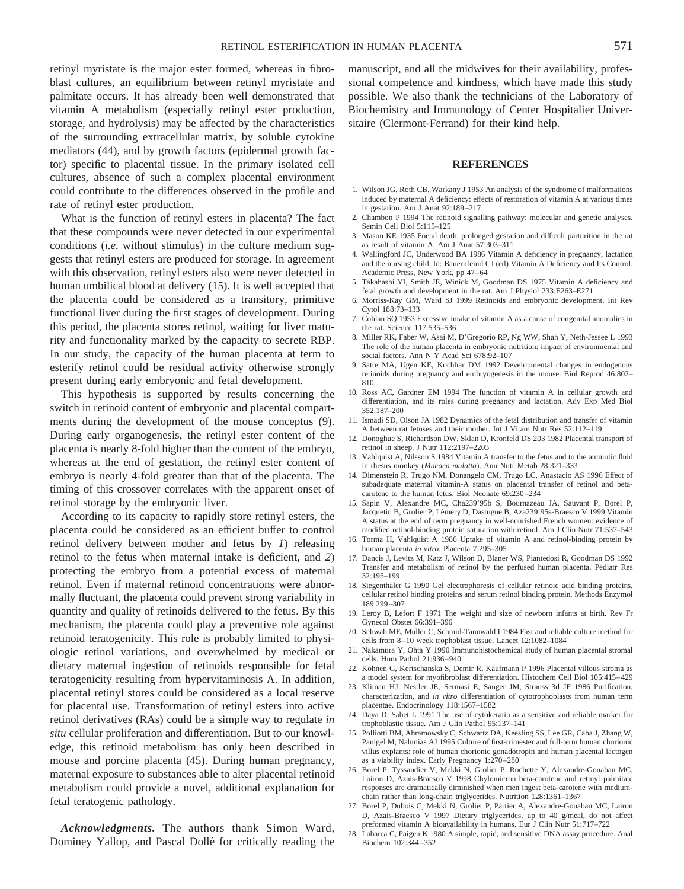retinyl myristate is the major ester formed, whereas in fibroblast cultures, an equilibrium between retinyl myristate and palmitate occurs. It has already been well demonstrated that vitamin A metabolism (especially retinyl ester production, storage, and hydrolysis) may be affected by the characteristics of the surrounding extracellular matrix, by soluble cytokine mediators (44), and by growth factors (epidermal growth factor) specific to placental tissue. In the primary isolated cell cultures, absence of such a complex placental environment could contribute to the differences observed in the profile and rate of retinyl ester production.

What is the function of retinyl esters in placenta? The fact that these compounds were never detected in our experimental conditions (*i.e.* without stimulus) in the culture medium suggests that retinyl esters are produced for storage. In agreement with this observation, retinyl esters also were never detected in human umbilical blood at delivery (15). It is well accepted that the placenta could be considered as a transitory, primitive functional liver during the first stages of development. During this period, the placenta stores retinol, waiting for liver maturity and functionality marked by the capacity to secrete RBP. In our study, the capacity of the human placenta at term to esterify retinol could be residual activity otherwise strongly present during early embryonic and fetal development.

This hypothesis is supported by results concerning the switch in retinoid content of embryonic and placental compartments during the development of the mouse conceptus (9). During early organogenesis, the retinyl ester content of the placenta is nearly 8-fold higher than the content of the embryo, whereas at the end of gestation, the retinyl ester content of embryo is nearly 4-fold greater than that of the placenta. The timing of this crossover correlates with the apparent onset of retinol storage by the embryonic liver.

According to its capacity to rapidly store retinyl esters, the placenta could be considered as an efficient buffer to control retinol delivery between mother and fetus by *1*) releasing retinol to the fetus when maternal intake is deficient, and *2*) protecting the embryo from a potential excess of maternal retinol. Even if maternal retinoid concentrations were abnormally fluctuant, the placenta could prevent strong variability in quantity and quality of retinoids delivered to the fetus. By this mechanism, the placenta could play a preventive role against retinoid teratogenicity. This role is probably limited to physiologic retinol variations, and overwhelmed by medical or dietary maternal ingestion of retinoids responsible for fetal teratogenicity resulting from hypervitaminosis A. In addition, placental retinyl stores could be considered as a local reserve for placental use. Transformation of retinyl esters into active retinol derivatives (RAs) could be a simple way to regulate *in situ* cellular proliferation and differentiation. But to our knowledge, this retinoid metabolism has only been described in mouse and porcine placenta (45). During human pregnancy, maternal exposure to substances able to alter placental retinoid metabolism could provide a novel, additional explanation for fetal teratogenic pathology.

*Acknowledgments.* The authors thank Simon Ward, Dominey Yallop, and Pascal Dollé for critically reading the manuscript, and all the midwives for their availability, professional competence and kindness, which have made this study possible. We also thank the technicians of the Laboratory of Biochemistry and Immunology of Center Hospitalier Universitaire (Clermont-Ferrand) for their kind help.

### **REFERENCES**

- 1. Wilson JG, Roth CB, Warkany J 1953 An analysis of the syndrome of malformations induced by maternal A deficiency: effects of restoration of vitamin A at various times in gestation. Am J Anat 92:189–217
- 2. Chambon P 1994 The retinoid signalling pathway: molecular and genetic analyses. Semin Cell Biol 5:115–125
- 3. Mason KE 1935 Foetal death, prolonged gestation and difficult parturition in the rat as result of vitamin A. Am J Anat 57:303–311
- 4. Wallingford JC, Underwood BA 1986 Vitamin A deficiency in pregnancy, lactation and the nursing child. In: Bauernfeind CJ (ed) Vitamin A Deficiency and Its Control. Academic Press, New York, pp 47–64
- 5. Takahashi YI, Smith JE, Winick M, Goodman DS 1975 Vitamin A deficiency and fetal growth and development in the rat. Am J Physiol 233:E263–E271
- 6. Morriss-Kay GM, Ward SJ 1999 Retinoids and embryonic development. Int Rev Cytol 188:73–133
- 7. Cohlan SQ 1953 Excessive intake of vitamin A as a cause of congenital anomalies in the rat. Science 117:535–536
- 8. Miller RK, Faber W, Asai M, D'Gregorio RP, Ng WW, Shah Y, Neth-Jessee L 1993 The role of the human placenta in embryonic nutrition: impact of environmental and social factors. Ann N Y Acad Sci 678:92–107
- 9. Satre MA, Ugen KE, Kochhar DM 1992 Developmental changes in endogenous retinoids during pregnancy and embryogenesis in the mouse. Biol Reprod 46:802– 810
- 10. Ross AC, Gardner EM 1994 The function of vitamin A in cellular growth and differentiation, and its roles during pregnancy and lactation. Adv Exp Med Biol 352:187–200
- 11. Ismadi SD, Olson JA 1982 Dynamics of the fetal distribution and transfer of vitamin A between rat fetuses and their mother. Int J Vitam Nutr Res 52:112–119
- 12. Donoghue S, Richardson DW, Sklan D, Kronfeld DS 203 1982 Placental transport of retinol in sheep. J Nutr 112:2197–2203
- 13. Vahlquist A, Nilsson S 1984 Vitamin A transfer to the fetus and to the amniotic fluid in rhesus monkey (*Macaca mulatta*). Ann Nutr Metab 28:321–333
- 14. Dimenstein R, Trugo NM, Donangelo CM, Trugo LC, Anastacio AS 1996 Effect of subadequate maternal vitamin-A status on placental transfer of retinol and betacarotene to the human fetus. Biol Neonate 69:230–234
- 15. Sapin V, Alexandre MC, Cha239'95b S, Bournazeau JA, Sauvant P, Borel P, Jacquetin B, Grolier P, Lémery D, Dastugue B, Aza239'95s-Braesco V 1999 Vitamin A status at the end of term pregnancy in well-nourished French women: evidence of modified retinol-binding protein saturation with retinol. Am J Clin Nutr 71:537–543
- 16. Torma H, Vahlquist A 1986 Uptake of vitamin A and retinol-binding protein by human placenta *in vitro*. Placenta 7:295–305
- 17. Dancis J, Levitz M, Katz J, Wilson D, Blaner WS, Piantedosi R, Goodman DS 1992 Transfer and metabolism of retinol by the perfused human placenta. Pediatr Res 32:195–199
- 18. Siegenthaler G 1990 Gel electrophoresis of cellular retinoic acid binding proteins, cellular retinol binding proteins and serum retinol binding protein. Methods Enzymol 189:299–307
- 19. Leroy B, Lefort F 1971 The weight and size of newborn infants at birth. Rev Fr Gynecol Obstet 66:391–396
- 20. Schwab ME, Muller C, Schmid-Tannwald I 1984 Fast and reliable culture method for cells from 8–10 week trophoblast tissue. Lancet 12:1082–1084
- 21. Nakamura Y, Ohta Y 1990 Immunohistochemical study of human placental stromal cells. Hum Pathol 21:936–940
- 22. Kohnen G, Kertschanska S, Demir R, Kaufmann P 1996 Placental villous stroma as a model system for myofibroblast differentiation. Histochem Cell Biol 105:415–429
- 23. Kliman HJ, Nestler JE, Sermasi E, Sanger JM, Strauss 3d JF 1986 Purification, characterization, and *in vitro* differentiation of cytotrophoblasts from human term placentae. Endocrinology 118:1567–1582
- 24. Daya D, Sabet L 1991 The use of cytokeratin as a sensitive and reliable marker for trophoblastic tissue. Am J Clin Pathol 95:137–141
- 25. Polliotti BM, Abramowsky C, Schwartz DA, Keesling SS, Lee GR, Caba J, Zhang W, Panigel M, Nahmias AJ 1995 Culture of first-trimester and full-term human chorionic villus explants: role of human chorionic gonadotropin and human placental lactogen as a viability index. Early Pregnancy 1:270–280
- 26. Borel P, Tyssandier V, Mekki N, Grolier P, Rochette Y, Alexandre-Gouabau MC, Lairon D, Azais-Braesco V 1998 Chylomicron beta-carotene and retinyl palmitate responses are dramatically diminished when men ingest beta-carotene with mediumchain rather than long-chain triglycerides. Nutrition 128:1361–1367
- 27. Borel P, Dubois C, Mekki N, Grolier P, Partier A, Alexandre-Gouabau MC, Lairon D, Azais-Braesco V 1997 Dietary triglycerides, up to 40 g/meal, do not affect preformed vitamin A bioavailability in humans. Eur J Clin Nutr 51:717–722
- 28. Labarca C, Paigen K 1980 A simple, rapid, and sensitive DNA assay procedure. Anal Biochem 102:344–352